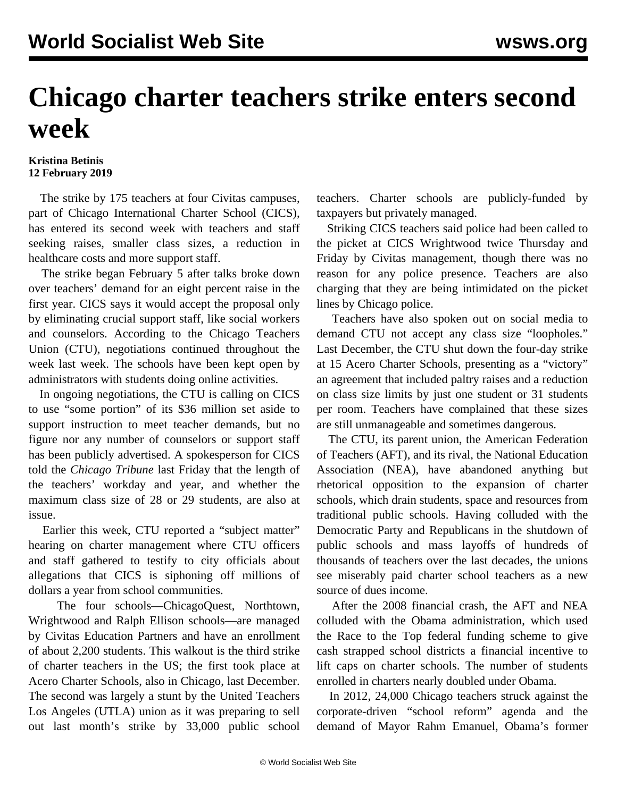## **Chicago charter teachers strike enters second week**

## **Kristina Betinis 12 February 2019**

 The strike by 175 teachers at four Civitas campuses, part of Chicago International Charter School (CICS), has entered its second week with teachers and staff seeking raises, smaller class sizes, a reduction in healthcare costs and more support staff.

 The strike began February 5 after talks broke down over teachers' demand for an eight percent raise in the first year. CICS says it would accept the proposal only by eliminating crucial support staff, like social workers and counselors. According to the Chicago Teachers Union (CTU), negotiations continued throughout the week last week. The schools have been kept open by administrators with students doing online activities.

 In ongoing negotiations, the CTU is calling on CICS to use "some portion" of its \$36 million set aside to support instruction to meet teacher demands, but no figure nor any number of counselors or support staff has been publicly advertised. A spokesperson for CICS told the *Chicago Tribune* last Friday that the length of the teachers' workday and year, and whether the maximum class size of 28 or 29 students, are also at issue.

 Earlier this week, CTU reported a "subject matter" hearing on charter management where CTU officers and staff gathered to testify to city officials about allegations that CICS is siphoning off millions of dollars a year from school communities.

 The four schools—ChicagoQuest, Northtown, Wrightwood and Ralph Ellison schools—are managed by Civitas Education Partners and have an enrollment of about 2,200 students. This walkout is the third strike of charter teachers in the US; the first took place at Acero Charter Schools, also in Chicago, last December. The second was largely a stunt by the United Teachers Los Angeles (UTLA) union as it was preparing to sell out last month's strike by 33,000 public school

teachers. Charter schools are publicly-funded by taxpayers but privately managed.

 Striking CICS teachers said police had been called to the picket at CICS Wrightwood twice Thursday and Friday by Civitas management, though there was no reason for any police presence. Teachers are also charging that they are being intimidated on the picket lines by Chicago police.

 Teachers have also spoken out on social media to demand CTU not accept any class size "loopholes." Last December, the CTU shut down the four-day strike at 15 Acero Charter Schools, presenting as a "victory" an agreement that included paltry raises and a reduction on class size limits by just one student or 31 students per room. Teachers have complained that these sizes are still unmanageable and sometimes dangerous.

 The CTU, its parent union, the American Federation of Teachers (AFT), and its rival, the National Education Association (NEA), have abandoned anything but rhetorical opposition to the expansion of charter schools, which drain students, space and resources from traditional public schools. Having colluded with the Democratic Party and Republicans in the shutdown of public schools and mass layoffs of hundreds of thousands of teachers over the last decades, the unions see miserably paid charter school teachers as a new source of dues income.

 After the 2008 financial crash, the AFT and NEA colluded with the Obama administration, which used the Race to the Top federal funding scheme to give cash strapped school districts a financial incentive to lift caps on charter schools. The number of students enrolled in charters nearly doubled under Obama.

 In 2012, 24,000 Chicago teachers struck against the corporate-driven "school reform" agenda and the demand of Mayor Rahm Emanuel, Obama's former